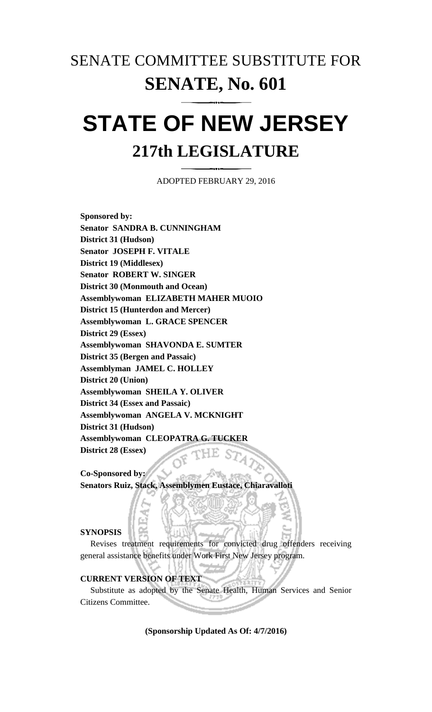## SENATE COMMITTEE SUBSTITUTE FOR **SENATE, No. 601**

# **STATE OF NEW JERSEY 217th LEGISLATURE**

ADOPTED FEBRUARY 29, 2016

**Sponsored by: Senator SANDRA B. CUNNINGHAM District 31 (Hudson) Senator JOSEPH F. VITALE District 19 (Middlesex) Senator ROBERT W. SINGER District 30 (Monmouth and Ocean) Assemblywoman ELIZABETH MAHER MUOIO District 15 (Hunterdon and Mercer) Assemblywoman L. GRACE SPENCER District 29 (Essex) Assemblywoman SHAVONDA E. SUMTER District 35 (Bergen and Passaic) Assemblyman JAMEL C. HOLLEY District 20 (Union) Assemblywoman SHEILA Y. OLIVER District 34 (Essex and Passaic) Assemblywoman ANGELA V. MCKNIGHT District 31 (Hudson) Assemblywoman CLEOPATRA G. TUCKER District 28 (Essex)**

**Co-Sponsored by: Senators Ruiz, Stack, Assemblymen Eustace, Chiaravalloti** 

#### **SYNOPSIS**

Revises treatment requirements for convicted drug offenders receiving general assistance benefits under Work First New Jersey program.

### **CURRENT VERSION OF TEXT**

Substitute as adopted by the Senate Health, Human Services and Senior Citizens Committee.

**(Sponsorship Updated As Of: 4/7/2016)**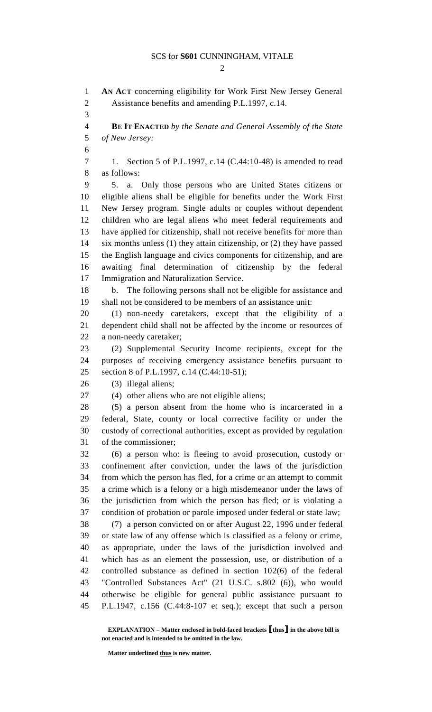#### SCS for **S601** CUNNINGHAM, VITALE

 $\mathcal{D}_{\mathcal{L}}$ 

 **AN ACT** concerning eligibility for Work First New Jersey General Assistance benefits and amending P.L.1997, c.14. **BE IT ENACTED** *by the Senate and General Assembly of the State of New Jersey:* 1. Section 5 of P.L.1997, c.14 (C.44:10-48) is amended to read as follows: 5. a. Only those persons who are United States citizens or eligible aliens shall be eligible for benefits under the Work First New Jersey program. Single adults or couples without dependent children who are legal aliens who meet federal requirements and have applied for citizenship, shall not receive benefits for more than six months unless (1) they attain citizenship, or (2) they have passed the English language and civics components for citizenship, and are awaiting final determination of citizenship by the federal Immigration and Naturalization Service. b. The following persons shall not be eligible for assistance and shall not be considered to be members of an assistance unit: (1) non-needy caretakers, except that the eligibility of a dependent child shall not be affected by the income or resources of a non-needy caretaker; (2) Supplemental Security Income recipients, except for the purposes of receiving emergency assistance benefits pursuant to 25 section 8 of P.L.1997, c.14 (C.44:10-51); (3) illegal aliens; (4) other aliens who are not eligible aliens; (5) a person absent from the home who is incarcerated in a federal, State, county or local corrective facility or under the custody of correctional authorities, except as provided by regulation of the commissioner; (6) a person who: is fleeing to avoid prosecution, custody or confinement after conviction, under the laws of the jurisdiction from which the person has fled, for a crime or an attempt to commit a crime which is a felony or a high misdemeanor under the laws of the jurisdiction from which the person has fled; or is violating a condition of probation or parole imposed under federal or state law; (7) a person convicted on or after August 22, 1996 under federal or state law of any offense which is classified as a felony or crime, as appropriate, under the laws of the jurisdiction involved and which has as an element the possession, use, or distribution of a controlled substance as defined in section 102(6) of the federal "Controlled Substances Act" (21 U.S.C. s.802 (6)), who would otherwise be eligible for general public assistance pursuant to P.L.1947, c.156 (C.44:8-107 et seq.); except that such a person

**EXPLANATION – Matter enclosed in bold-faced brackets [thus] in the above bill is not enacted and is intended to be omitted in the law.**

**Matter underlined thus is new matter.**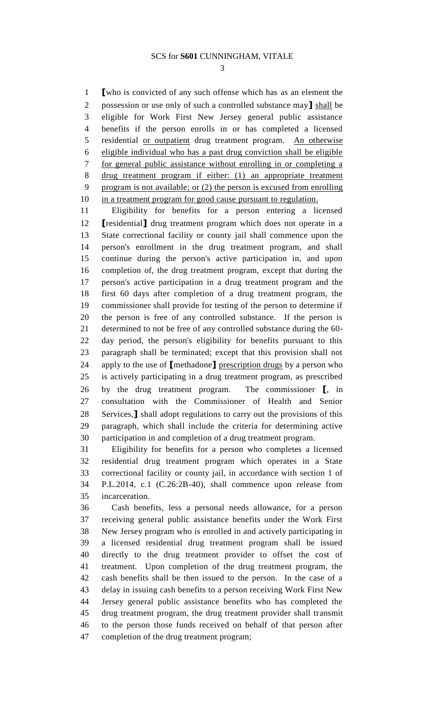**[**who is convicted of any such offense which has as an element the possession or use only of such a controlled substance may**]** shall be eligible for Work First New Jersey general public assistance benefits if the person enrolls in or has completed a licensed residential or outpatient drug treatment program. An otherwise eligible individual who has a past drug conviction shall be eligible for general public assistance without enrolling in or completing a drug treatment program if either: (1) an appropriate treatment program is not available; or (2) the person is excused from enrolling 10 in a treatment program for good cause pursuant to regulation.

 Eligibility for benefits for a person entering a licensed **[**residential**]** drug treatment program which does not operate in a State correctional facility or county jail shall commence upon the person's enrollment in the drug treatment program, and shall continue during the person's active participation in, and upon completion of, the drug treatment program, except that during the person's active participation in a drug treatment program and the first 60 days after completion of a drug treatment program, the commissioner shall provide for testing of the person to determine if the person is free of any controlled substance. If the person is determined to not be free of any controlled substance during the 60- day period, the person's eligibility for benefits pursuant to this paragraph shall be terminated; except that this provision shall not apply to the use of **[**methadone**]** prescription drugs by a person who is actively participating in a drug treatment program, as prescribed by the drug treatment program. The commissioner **[**, in consultation with the Commissioner of Health and Senior Services,**]** shall adopt regulations to carry out the provisions of this paragraph, which shall include the criteria for determining active participation in and completion of a drug treatment program.

 Eligibility for benefits for a person who completes a licensed residential drug treatment program which operates in a State correctional facility or county jail, in accordance with section 1 of P.L.2014, c.1 (C.26:2B-40), shall commence upon release from incarceration.

 Cash benefits, less a personal needs allowance, for a person receiving general public assistance benefits under the Work First New Jersey program who is enrolled in and actively participating in a licensed residential drug treatment program shall be issued directly to the drug treatment provider to offset the cost of treatment. Upon completion of the drug treatment program, the cash benefits shall be then issued to the person. In the case of a delay in issuing cash benefits to a person receiving Work First New Jersey general public assistance benefits who has completed the drug treatment program, the drug treatment provider shall transmit to the person those funds received on behalf of that person after completion of the drug treatment program;